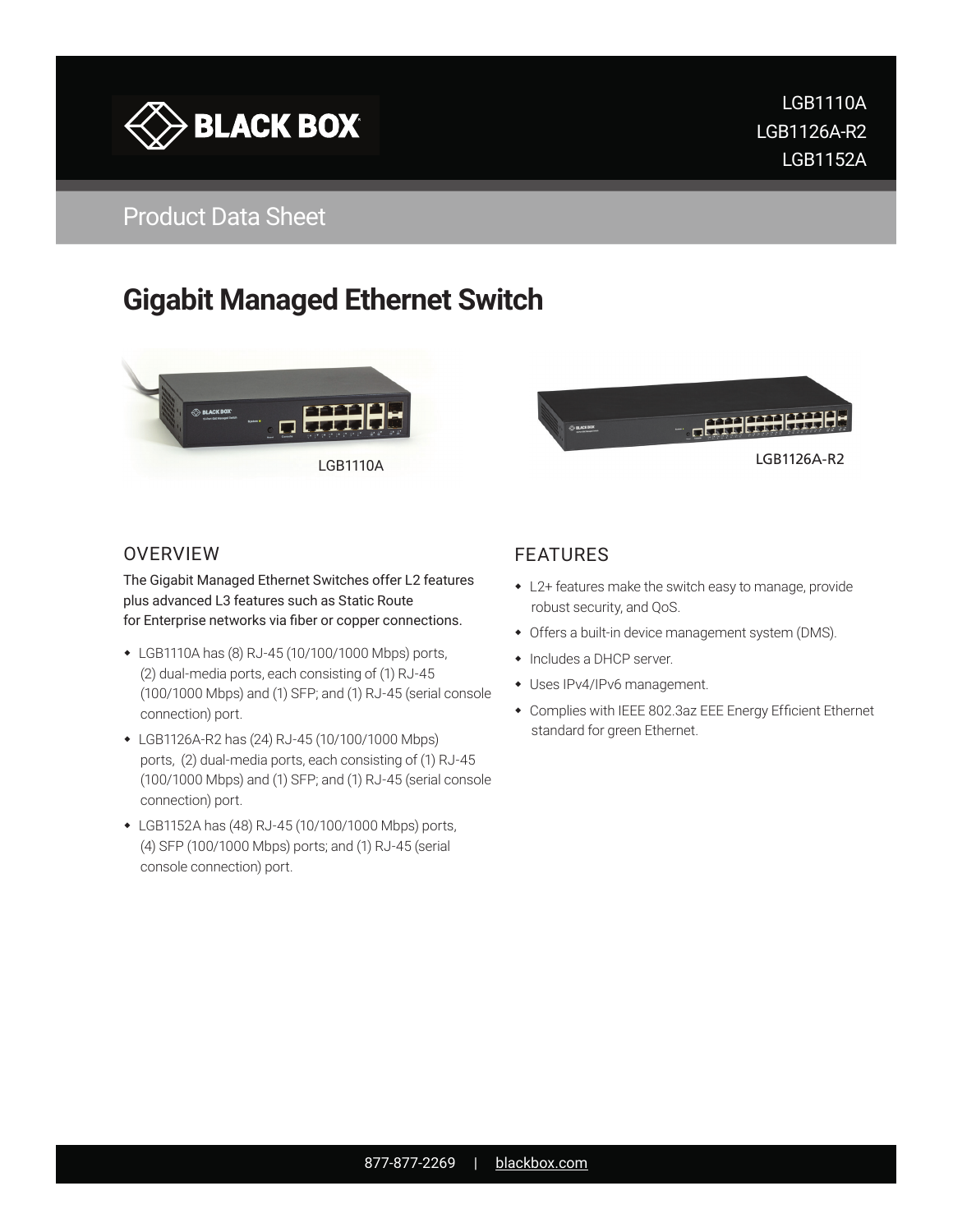

## LGB1110A LGB1126A-R2 LGB1152A

## Product Data Sheet

# **Gigabit Managed Ethernet Switch**





#### **OVERVIEW**

The Gigabit Managed Ethernet Switches offer L2 features plus advanced L3 features such as Static Route for Enterprise networks via fiber or copper connections.

- LGB1110A has (8) RJ-45 (10/100/1000 Mbps) ports, (2) dual-media ports, each consisting of (1) RJ-45 (100/1000 Mbps) and (1) SFP; and (1) RJ-45 (serial console connection) port.
- LGB1126A-R2 has (24) RJ-45 (10/100/1000 Mbps) ports, (2) dual-media ports, each consisting of (1) RJ-45 (100/1000 Mbps) and (1) SFP; and (1) RJ-45 (serial console connection) port.
- LGB1152A has (48) RJ-45 (10/100/1000 Mbps) ports, (4) SFP (100/1000 Mbps) ports; and (1) RJ-45 (serial console connection) port.

### FEATURES

- L2+ features make the switch easy to manage, provide robust security, and QoS.
- Offers a built-in device management system (DMS).
- Includes a DHCP server.
- Uses IPv4/IPv6 management.
- Complies with IEEE 802.3az EEE Energy Efficient Ethernet standard for green Ethernet.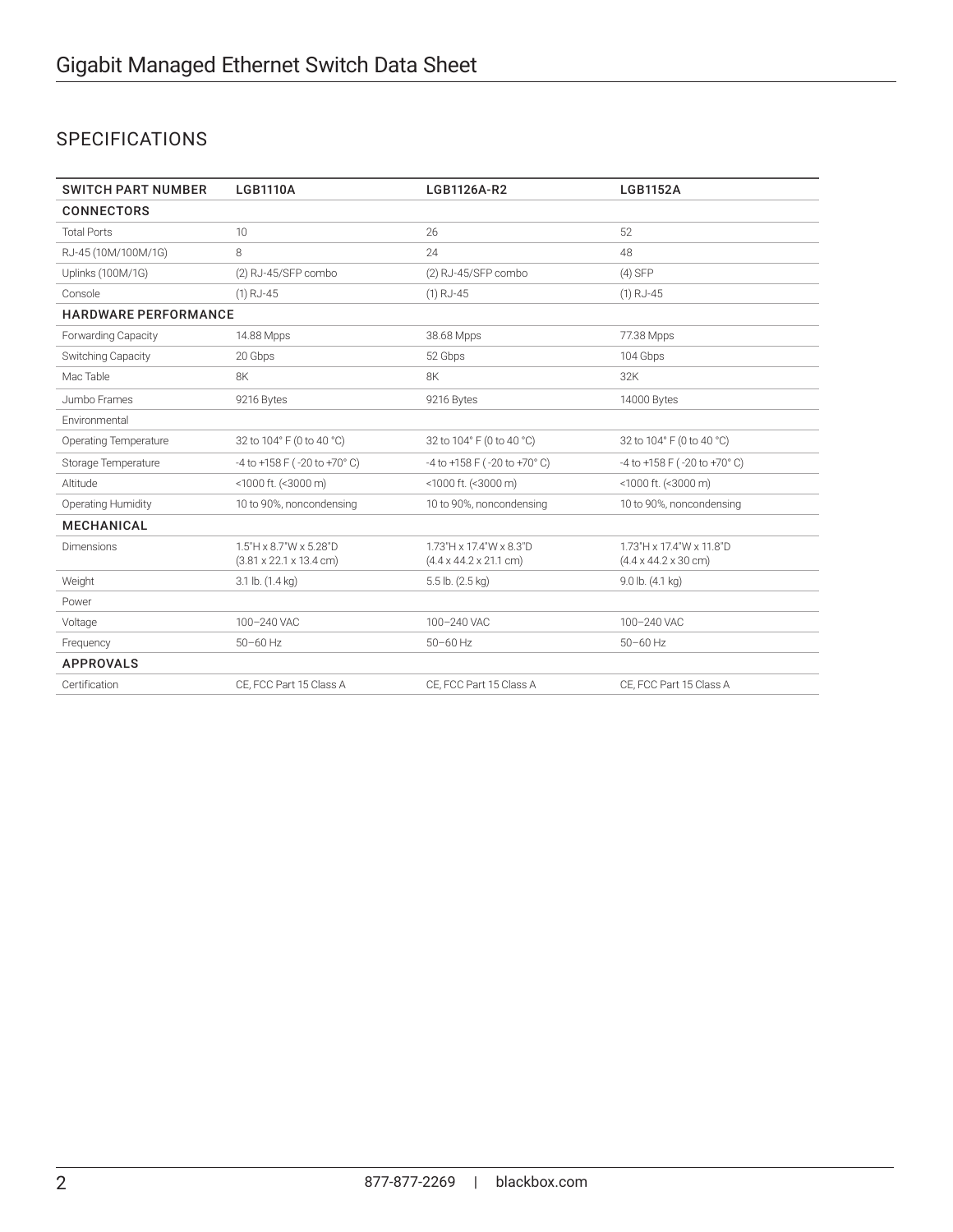## SPECIFICATIONS

| <b>SWITCH PART NUMBER</b>    | <b>LGB1110A</b>                                                          | LGB1126A-R2                                                   | <b>LGB1152A</b>                                              |
|------------------------------|--------------------------------------------------------------------------|---------------------------------------------------------------|--------------------------------------------------------------|
| <b>CONNECTORS</b>            |                                                                          |                                                               |                                                              |
| <b>Total Ports</b>           | 10                                                                       | 26                                                            | 52                                                           |
| RJ-45 (10M/100M/1G)          | 8                                                                        | 24                                                            | 48                                                           |
| Uplinks (100M/1G)            | (2) RJ-45/SFP combo                                                      | (2) RJ-45/SFP combo                                           | $(4)$ SFP                                                    |
| Console                      | $(1)$ RJ-45                                                              | $(1)$ RJ-45                                                   | $(1)$ RJ-45                                                  |
| <b>HARDWARE PERFORMANCE</b>  |                                                                          |                                                               |                                                              |
| Forwarding Capacity          | 14.88 Mpps                                                               | 38.68 Mpps                                                    | 77.38 Mpps                                                   |
| Switching Capacity           | 20 Gbps                                                                  | 52 Gbps                                                       | 104 Gbps                                                     |
| Mac Table                    | 8K                                                                       | 8K                                                            | 32K                                                          |
| Jumbo Frames                 | 9216 Bytes                                                               | 9216 Bytes                                                    | 14000 Bytes                                                  |
| Fnvironmental                |                                                                          |                                                               |                                                              |
| <b>Operating Temperature</b> | 32 to 104° F (0 to 40 °C)                                                | 32 to 104° F (0 to 40 °C)                                     | 32 to 104° F (0 to 40 °C)                                    |
| Storage Temperature          | -4 to +158 F (-20 to +70°C)                                              | -4 to +158 F (-20 to +70° C)                                  | -4 to +158 F (-20 to +70°C)                                  |
| Altitude                     | <1000 ft. (<3000 m)                                                      | <1000 ft. (<3000 m)                                           | <1000 ft. (<3000 m)                                          |
| Operating Humidity           | 10 to 90%, noncondensing                                                 | 10 to 90%, noncondensing                                      | 10 to 90%, noncondensing                                     |
| <b>MECHANICAL</b>            |                                                                          |                                                               |                                                              |
| Dimensions                   | $1.5$ "H x 8.7"W x 5.28"D<br>$(3.81 \times 22.1 \times 13.4 \text{ cm})$ | 1.73"H x 17.4"W x 8.3"D<br>$(4.4 \times 44.2 \times 21.1$ cm) | 1.73"H x 17.4"W x 11.8"D<br>$(4.4 \times 44.2 \times 30$ cm) |
| Weight                       | 3.1 lb. (1.4 kg)                                                         | 5.5 lb. (2.5 kg)                                              | 9.0 lb. (4.1 kg)                                             |
| Power                        |                                                                          |                                                               |                                                              |
| Voltage                      | 100-240 VAC                                                              | 100-240 VAC                                                   | 100-240 VAC                                                  |
| Frequency                    | $50 - 60$ Hz                                                             | $50 - 60$ Hz                                                  | $50 - 60$ Hz                                                 |
| <b>APPROVALS</b>             |                                                                          |                                                               |                                                              |
| Certification                | CE, FCC Part 15 Class A                                                  | CE, FCC Part 15 Class A                                       | CE, FCC Part 15 Class A                                      |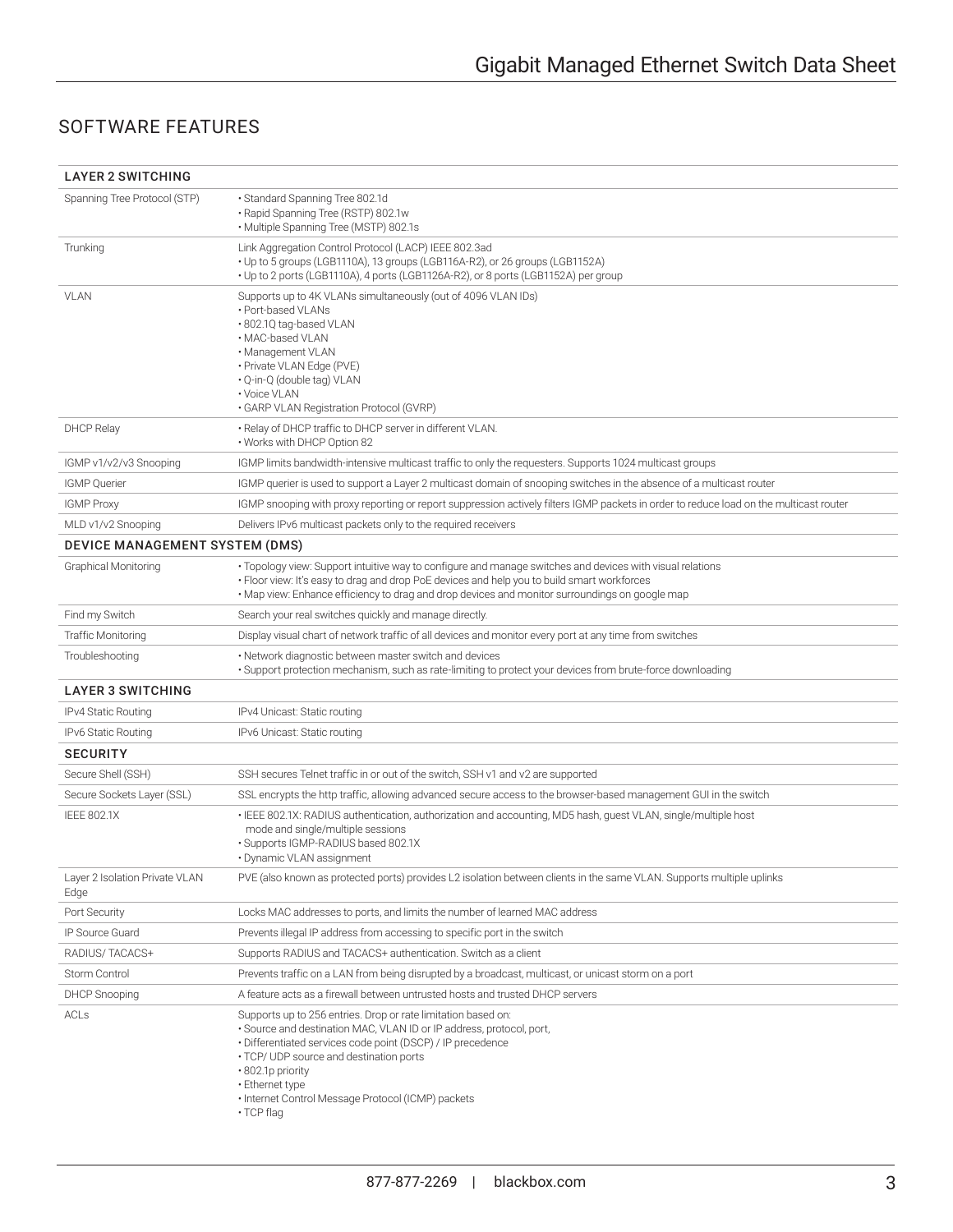## SOFTWARE FEATURES

| <b>LAYER 2 SWITCHING</b>               |                                                                                                                                                                                                                                                                                                                                                                   |
|----------------------------------------|-------------------------------------------------------------------------------------------------------------------------------------------------------------------------------------------------------------------------------------------------------------------------------------------------------------------------------------------------------------------|
| Spanning Tree Protocol (STP)           | • Standard Spanning Tree 802.1d<br>• Rapid Spanning Tree (RSTP) 802.1w<br>• Multiple Spanning Tree (MSTP) 802.1s                                                                                                                                                                                                                                                  |
| Trunking                               | Link Aggregation Control Protocol (LACP) IEEE 802.3ad<br>• Up to 5 groups (LGB1110A), 13 groups (LGB116A-R2), or 26 groups (LGB1152A)<br>• Up to 2 ports (LGB1110A), 4 ports (LGB1126A-R2), or 8 ports (LGB1152A) per group                                                                                                                                       |
| <b>VLAN</b>                            | Supports up to 4K VLANs simultaneously (out of 4096 VLAN IDs)<br>· Port-based VLANs<br>•802.1Q tag-based VLAN<br>• MAC-based VLAN<br>• Management VLAN<br>· Private VLAN Edge (PVE)<br>· Q-in-Q (double tag) VLAN<br>• Voice VLAN<br>· GARP VLAN Registration Protocol (GVRP)                                                                                     |
| <b>DHCP Relay</b>                      | . Relay of DHCP traffic to DHCP server in different VLAN.<br>. Works with DHCP Option 82                                                                                                                                                                                                                                                                          |
| IGMP v1/v2/v3 Snooping                 | IGMP limits bandwidth-intensive multicast traffic to only the requesters. Supports 1024 multicast groups                                                                                                                                                                                                                                                          |
| <b>IGMP</b> Querier                    | IGMP querier is used to support a Layer 2 multicast domain of snooping switches in the absence of a multicast router                                                                                                                                                                                                                                              |
| <b>IGMP Proxy</b>                      | IGMP snooping with proxy reporting or report suppression actively filters IGMP packets in order to reduce load on the multicast router                                                                                                                                                                                                                            |
| MLD v1/v2 Snooping                     | Delivers IPv6 multicast packets only to the required receivers                                                                                                                                                                                                                                                                                                    |
| DEVICE MANAGEMENT SYSTEM (DMS)         |                                                                                                                                                                                                                                                                                                                                                                   |
| <b>Graphical Monitoring</b>            | • Topology view: Support intuitive way to configure and manage switches and devices with visual relations<br>• Floor view: It's easy to drag and drop PoE devices and help you to build smart workforces<br>• Map view: Enhance efficiency to drag and drop devices and monitor surroundings on google map                                                        |
| Find my Switch                         | Search your real switches quickly and manage directly.                                                                                                                                                                                                                                                                                                            |
| Traffic Monitoring                     | Display visual chart of network traffic of all devices and monitor every port at any time from switches                                                                                                                                                                                                                                                           |
| Troubleshooting                        | • Network diagnostic between master switch and devices<br>• Support protection mechanism, such as rate-limiting to protect your devices from brute-force downloading                                                                                                                                                                                              |
| <b>LAYER 3 SWITCHING</b>               |                                                                                                                                                                                                                                                                                                                                                                   |
| <b>IPv4 Static Routing</b>             | IPv4 Unicast: Static routing                                                                                                                                                                                                                                                                                                                                      |
| IPv6 Static Routing                    | IPv6 Unicast: Static routing                                                                                                                                                                                                                                                                                                                                      |
| <b>SECURITY</b>                        |                                                                                                                                                                                                                                                                                                                                                                   |
| Secure Shell (SSH)                     | SSH secures Telnet traffic in or out of the switch, SSH v1 and v2 are supported                                                                                                                                                                                                                                                                                   |
| Secure Sockets Layer (SSL)             | SSL encrypts the http traffic, allowing advanced secure access to the browser-based management GUI in the switch                                                                                                                                                                                                                                                  |
| <b>IEEE 802.1X</b>                     | • IEEE 802.1X: RADIUS authentication, authorization and accounting, MD5 hash, quest VLAN, single/multiple host<br>mode and single/multiple sessions<br>· Supports IGMP-RADIUS based 802.1X<br>• Dynamic VLAN assignment                                                                                                                                           |
| Layer 2 Isolation Private VLAN<br>Edge | PVE (also known as protected ports) provides L2 isolation between clients in the same VLAN. Supports multiple uplinks                                                                                                                                                                                                                                             |
| Port Security                          | Locks MAC addresses to ports, and limits the number of learned MAC address                                                                                                                                                                                                                                                                                        |
| IP Source Guard                        | Prevents illegal IP address from accessing to specific port in the switch                                                                                                                                                                                                                                                                                         |
| RADIUS/TACACS+                         | Supports RADIUS and TACACS+ authentication. Switch as a client                                                                                                                                                                                                                                                                                                    |
| Storm Control                          | Prevents traffic on a LAN from being disrupted by a broadcast, multicast, or unicast storm on a port                                                                                                                                                                                                                                                              |
| <b>DHCP Snooping</b>                   | A feature acts as a firewall between untrusted hosts and trusted DHCP servers                                                                                                                                                                                                                                                                                     |
| ACLs                                   | Supports up to 256 entries. Drop or rate limitation based on:<br>· Source and destination MAC, VLAN ID or IP address, protocol, port,<br>· Differentiated services code point (DSCP) / IP precedence<br>• TCP/ UDP source and destination ports<br>• 802.1p priority<br>• Ethernet type<br>• Internet Control Message Protocol (ICMP) packets<br>$\cdot$ TCP flag |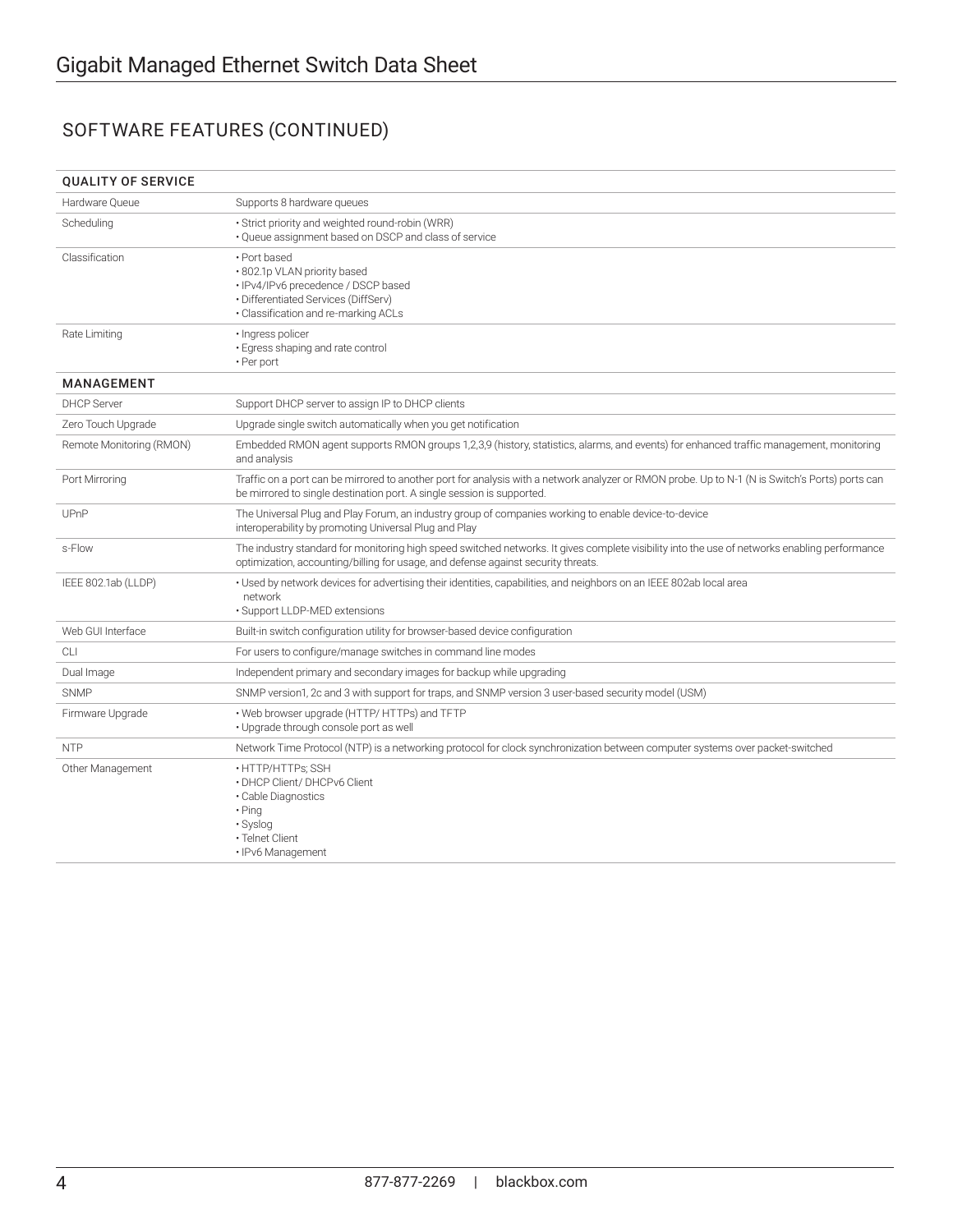## SOFTWARE FEATURES (CONTINUED)

| <b>OUALITY OF SERVICE</b> |                                                                                                                                                                                                                                    |  |
|---------------------------|------------------------------------------------------------------------------------------------------------------------------------------------------------------------------------------------------------------------------------|--|
| Hardware Queue            | Supports 8 hardware queues                                                                                                                                                                                                         |  |
| Scheduling                | · Strict priority and weighted round-robin (WRR)<br>. Queue assignment based on DSCP and class of service                                                                                                                          |  |
| Classification            | • Port based<br>· 802.1p VLAN priority based<br>· IPv4/IPv6 precedence / DSCP based<br>· Differentiated Services (DiffServ)<br>· Classification and re-marking ACLs                                                                |  |
| Rate Limiting             | · Ingress policer<br>• Egress shaping and rate control<br>$\cdot$ Per port                                                                                                                                                         |  |
| <b>MANAGEMENT</b>         |                                                                                                                                                                                                                                    |  |
| <b>DHCP Server</b>        | Support DHCP server to assign IP to DHCP clients                                                                                                                                                                                   |  |
| Zero Touch Upgrade        | Upgrade single switch automatically when you get notification                                                                                                                                                                      |  |
| Remote Monitoring (RMON)  | Embedded RMON agent supports RMON groups 1,2,3,9 (history, statistics, alarms, and events) for enhanced traffic management, monitoring<br>and analysis                                                                             |  |
| Port Mirroring            | Traffic on a port can be mirrored to another port for analysis with a network analyzer or RMON probe. Up to N-1 (N is Switch's Ports) ports can<br>be mirrored to single destination port. A single session is supported.          |  |
| UPnP                      | The Universal Plug and Play Forum, an industry group of companies working to enable device-to-device<br>interoperability by promoting Universal Plug and Play                                                                      |  |
| s-Flow                    | The industry standard for monitoring high speed switched networks. It gives complete visibility into the use of networks enabling performance<br>optimization, accounting/billing for usage, and defense against security threats. |  |
| IEEE 802.1ab (LLDP)       | • Used by network devices for advertising their identities, capabilities, and neighbors on an IEEE 802ab local area<br>network<br>· Support LLDP-MED extensions                                                                    |  |
| Web GUI Interface         | Built-in switch configuration utility for browser-based device configuration                                                                                                                                                       |  |
| CLI                       | For users to configure/manage switches in command line modes                                                                                                                                                                       |  |
| Dual Image                | Independent primary and secondary images for backup while upgrading                                                                                                                                                                |  |
| <b>SNMP</b>               | SNMP version1, 2c and 3 with support for traps, and SNMP version 3 user-based security model (USM)                                                                                                                                 |  |
| Firmware Upgrade          | . Web browser upgrade (HTTP/HTTPs) and TFTP<br>• Upgrade through console port as well                                                                                                                                              |  |
| <b>NTP</b>                | Network Time Protocol (NTP) is a networking protocol for clock synchronization between computer systems over packet-switched                                                                                                       |  |
| Other Management          | · HTTP/HTTPs; SSH<br>• DHCP Client/ DHCPv6 Client<br>• Cable Diagnostics<br>$\cdot$ Ping<br>· Syslog<br>· Telnet Client<br>• IPv6 Management                                                                                       |  |